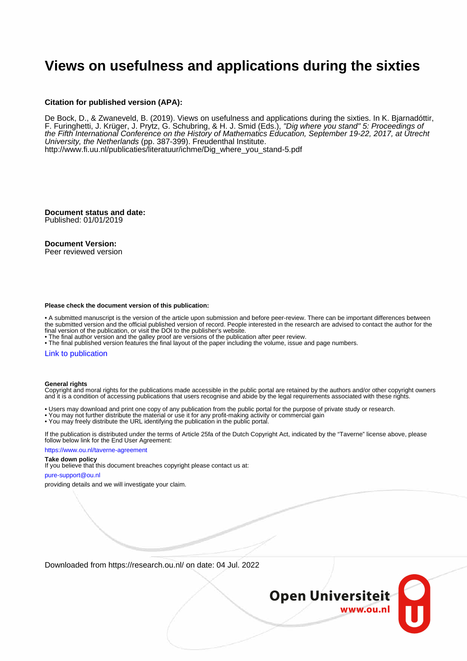# **Views on usefulness and applications during the sixties**

### **Citation for published version (APA):**

De Bock, D., & Zwaneveld, B. (2019). Views on usefulness and applications during the sixties. In K. Bjarnadóttir, F. Furinghetti, J. Krüger, J. Prytz, G. Schubring, & H. J. Smid (Eds.), "Dig where you stand" 5: Proceedings of the Fifth International Conference on the History of Mathematics Education, September 19-22, 2017, at Utrecht University, the Netherlands (pp. 387-399). Freudenthal Institute. [http://www.fi.uu.nl/publicaties/literatuur/ichme/Dig\\_where\\_you\\_stand-5.pdf](http://www.fi.uu.nl/publicaties/literatuur/ichme/Dig_where_you_stand-5.pdf)

**Document status and date:**

Published: 01/01/2019

### **Document Version:**

Peer reviewed version

#### **Please check the document version of this publication:**

• A submitted manuscript is the version of the article upon submission and before peer-review. There can be important differences between the submitted version and the official published version of record. People interested in the research are advised to contact the author for the final version of the publication, or visit the DOI to the publisher's website.

• The final author version and the galley proof are versions of the publication after peer review.

• The final published version features the final layout of the paper including the volume, issue and page numbers.

### [Link to publication](https://research.ou.nl/en/publications/8a26921a-ab90-466a-b8c4-5235143d0b82)

### **General rights**

Copyright and moral rights for the publications made accessible in the public portal are retained by the authors and/or other copyright owners and it is a condition of accessing publications that users recognise and abide by the legal requirements associated with these rights.

- Users may download and print one copy of any publication from the public portal for the purpose of private study or research.
- You may not further distribute the material or use it for any profit-making activity or commercial gain
- You may freely distribute the URL identifying the publication in the public portal.

If the publication is distributed under the terms of Article 25fa of the Dutch Copyright Act, indicated by the "Taverne" license above, please follow below link for the End User Agreement:

#### https://www.ou.nl/taverne-agreement

## **Take down policy**

If you believe that this document breaches copyright please contact us at:

### pure-support@ou.nl

providing details and we will investigate your claim.

Downloaded from https://research.ou.nl/ on date: 04 Jul. 2022

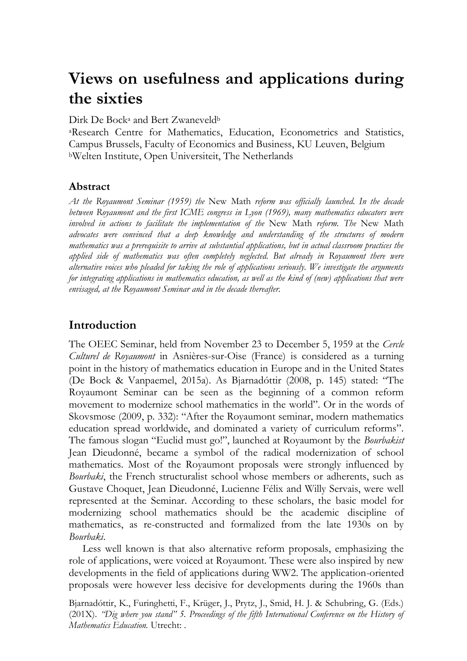# **Views on usefulness and applications during the sixties**

Dirk De Bock<sup>a</sup> and Bert Zwaneveld<sup>b</sup>

<sup>a</sup>Research Centre for Mathematics, Education, Econometrics and Statistics, Campus Brussels, Faculty of Economics and Business, KU Leuven, Belgium <sup>b</sup>Welten Institute, Open Universiteit, The Netherlands

## **Abstract**

*At the Royaumont Seminar (1959) the* New Math *reform was officially launched. In the decade between Royaumont and the first ICME congress in Lyon (1969), many mathematics educators were involved in actions to facilitate the implementation of the New Math reform. The New Math advocates were convinced that a deep knowledge and understanding of the structures of modern mathematics was a prerequisite to arrive at substantial applications, but in actual classroom practices the applied side of mathematics was often completely neglected. But already in Royaumont there were alternative voices who pleaded for taking the role of applications seriously. We investigate the arguments for integrating applications in mathematics education, as well as the kind of (new) applications that were envisaged, at the Royaumont Seminar and in the decade thereafter.*

# **Introduction**

The OEEC Seminar, held from November 23 to December 5, 1959 at the *Cercle Culturel de Royaumont* in Asnières-sur-Oise (France) is considered as a turning point in the history of mathematics education in Europe and in the United States (De Bock & Vanpaemel, 2015a). As Bjarnadóttir (2008, p. 145) stated: "The Royaumont Seminar can be seen as the beginning of a common reform movement to modernize school mathematics in the world". Or in the words of Skovsmose (2009, p. 332): "After the Royaumont seminar, modern mathematics education spread worldwide, and dominated a variety of curriculum reforms". The famous slogan "Euclid must go!", launched at Royaumont by the *Bourbakist*  Jean Dieudonné, became a symbol of the radical modernization of school mathematics. Most of the Royaumont proposals were strongly influenced by *Bourbaki*, the French structuralist school whose members or adherents, such as Gustave Choquet, Jean Dieudonné, Lucienne Félix and Willy Servais, were well represented at the Seminar. According to these scholars, the basic model for modernizing school mathematics should be the academic discipline of mathematics, as re-constructed and formalized from the late 1930s on by *Bourbaki*.

Less well known is that also alternative reform proposals, emphasizing the role of applications, were voiced at Royaumont. These were also inspired by new developments in the field of applications during WW2. The application-oriented proposals were however less decisive for developments during the 1960s than

Bjarnadóttir, K., Furinghetti, F., Krüger, J., Prytz, J., Smid, H. J. & Schubring, G. (Eds.) (201X). *"Dig where you stand" 5. Proceedings of the fifth International Conference on the History of Mathematics Education.* Utrecht: .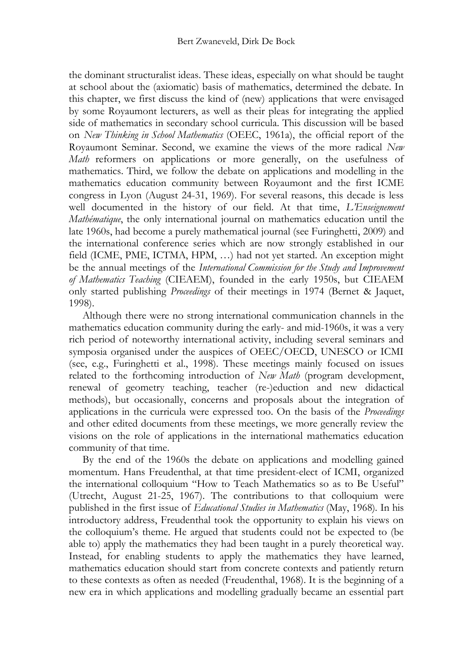the dominant structuralist ideas. These ideas, especially on what should be taught at school about the (axiomatic) basis of mathematics, determined the debate. In this chapter, we first discuss the kind of (new) applications that were envisaged by some Royaumont lecturers, as well as their pleas for integrating the applied side of mathematics in secondary school curricula. This discussion will be based on *New Thinking in School Mathematics* (OEEC, 1961a), the official report of the Royaumont Seminar. Second, we examine the views of the more radical *New Math* reformers on applications or more generally, on the usefulness of mathematics. Third, we follow the debate on applications and modelling in the mathematics education community between Royaumont and the first ICME congress in Lyon (August 24-31, 1969). For several reasons, this decade is less well documented in the history of our field. At that time, *L'Enseignement Mathématique*, the only international journal on mathematics education until the late 1960s, had become a purely mathematical journal (see Furinghetti, 2009) and the international conference series which are now strongly established in our field (ICME, PME, ICTMA, HPM, …) had not yet started. An exception might be the annual meetings of the *International Commission for the Study and Improvement of Mathematics Teaching* (CIEAEM), founded in the early 1950s, but CIEAEM only started publishing *Proceedings* of their meetings in 1974 (Bernet & Jaquet, 1998).

Although there were no strong international communication channels in the mathematics education community during the early- and mid-1960s, it was a very rich period of noteworthy international activity, including several seminars and symposia organised under the auspices of OEEC/OECD, UNESCO or ICMI (see, e.g., Furinghetti et al., 1998). These meetings mainly focused on issues related to the forthcoming introduction of *New Math* (program development, renewal of geometry teaching, teacher (re-)eduction and new didactical methods), but occasionally, concerns and proposals about the integration of applications in the curricula were expressed too. On the basis of the *Proceedings* and other edited documents from these meetings, we more generally review the visions on the role of applications in the international mathematics education community of that time.

By the end of the 1960s the debate on applications and modelling gained momentum. Hans Freudenthal, at that time president-elect of ICMI, organized the international colloquium "How to Teach Mathematics so as to Be Useful" (Utrecht, August 21-25, 1967). The contributions to that colloquium were published in the first issue of *Educational Studies in Mathematics* (May, 1968)*.* In his introductory address, Freudenthal took the opportunity to explain his views on the colloquium's theme. He argued that students could not be expected to (be able to) apply the mathematics they had been taught in a purely theoretical way. Instead, for enabling students to apply the mathematics they have learned, mathematics education should start from concrete contexts and patiently return to these contexts as often as needed (Freudenthal, 1968). It is the beginning of a new era in which applications and modelling gradually became an essential part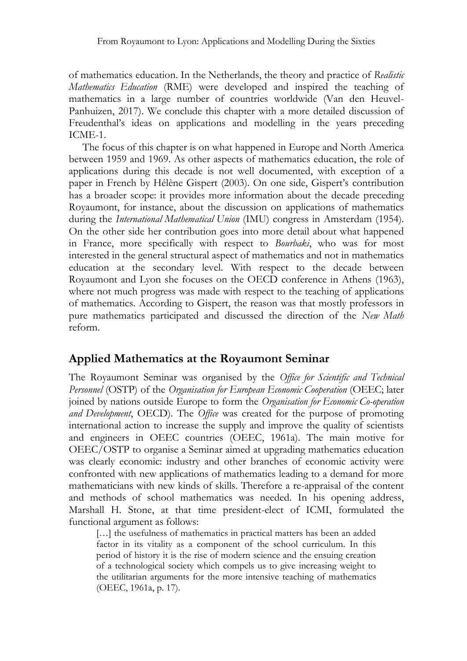of mathematics education. In the Netherlands, the theory and practice of *Realistic Mathematics Education* (RME) were developed and inspired the teaching of mathematics in a large number of countries worldwide (Van den Heuvel-Panhuizen, 2017). We conclude this chapter with a more detailed discussion of Freudenthal's ideas on applications and modelling in the years preceding ICME-1.

The focus of this chapter is on what happened in Europe and North America between 1959 and 1969. As other aspects of mathematics education, the role of applications during this decade is not well documented, with exception of a paper in French by Hélène Gispert (2003). On one side, Gispert's contribution has a broader scope: it provides more information about the decade preceding Royaumont, for instance, about the discussion on applications of mathematics during the *International Mathematical Union* (IMU) congress in Amsterdam (1954). On the other side her contribution goes into more detail about what happened in France, more specifically with respect to *Bourbaki*, who was for most interested in the general structural aspect of mathematics and not in mathematics education at the secondary level. With respect to the decade between Royaumont and Lyon she focuses on the OECD conference in Athens (1963), where not much progress was made with respect to the teaching of applications of mathematics. According to Gispert, the reason was that mostly professors in pure mathematics participated and discussed the direction of the *New Math* reform.

# **Applied Mathematics at the Royaumont Seminar**

The Royaumont Seminar was organised by the *Office for Scientific and Technical Personnel* (OSTP) of the *Organisation for European Economic Cooperation* (OEEC; later joined by nations outside Europe to form the *Organisation for Economic Co-operation and Development*, OECD). The *Office* was created for the purpose of promoting international action to increase the supply and improve the quality of scientists and engineers in OEEC countries (OEEC, 1961a). The main motive for OEEC/OSTP to organise a Seminar aimed at upgrading mathematics education was clearly economic: industry and other branches of economic activity were confronted with new applications of mathematics leading to a demand for more mathematicians with new kinds of skills. Therefore a re-appraisal of the content and methods of school mathematics was needed. In his opening address, Marshall H. Stone, at that time president-elect of ICMI, formulated the functional argument as follows:

[...] the usefulness of mathematics in practical matters has been an added factor in its vitality as a component of the school curriculum. In this period of history it is the rise of modern science and the ensuing creation of a technological society which compels us to give increasing weight to the utilitarian arguments for the more intensive teaching of mathematics (OEEC, 1961a, p. 17).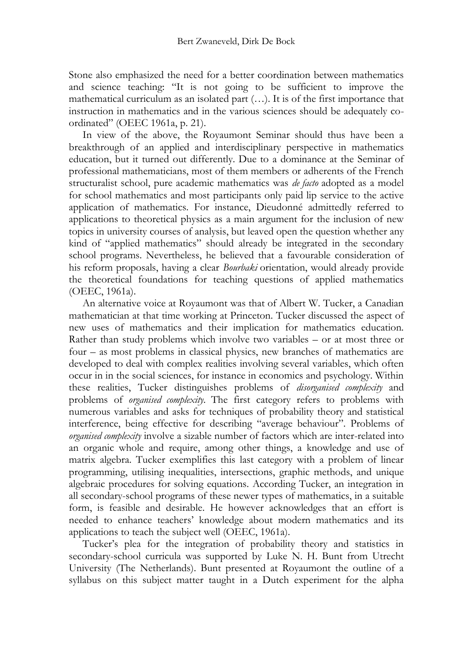Stone also emphasized the need for a better coordination between mathematics and science teaching: "It is not going to be sufficient to improve the mathematical curriculum as an isolated part (…). It is of the first importance that instruction in mathematics and in the various sciences should be adequately coordinated" (OEEC 1961a, p. 21).

In view of the above, the Royaumont Seminar should thus have been a breakthrough of an applied and interdisciplinary perspective in mathematics education, but it turned out differently. Due to a dominance at the Seminar of professional mathematicians, most of them members or adherents of the French structuralist school, pure academic mathematics was *de facto* adopted as a model for school mathematics and most participants only paid lip service to the active application of mathematics. For instance, Dieudonné admittedly referred to applications to theoretical physics as a main argument for the inclusion of new topics in university courses of analysis, but leaved open the question whether any kind of "applied mathematics" should already be integrated in the secondary school programs. Nevertheless, he believed that a favourable consideration of his reform proposals, having a clear *Bourbaki* orientation, would already provide the theoretical foundations for teaching questions of applied mathematics (OEEC, 1961a).

An alternative voice at Royaumont was that of Albert W. Tucker, a Canadian mathematician at that time working at Princeton. Tucker discussed the aspect of new uses of mathematics and their implication for mathematics education. Rather than study problems which involve two variables – or at most three or four – as most problems in classical physics, new branches of mathematics are developed to deal with complex realities involving several variables, which often occur in in the social sciences, for instance in economics and psychology. Within these realities, Tucker distinguishes problems of *disorganised complexity* and problems of *organised complexity.* The first category refers to problems with numerous variables and asks for techniques of probability theory and statistical interference, being effective for describing "average behaviour". Problems of *organised complexity* involve a sizable number of factors which are inter-related into an organic whole and require, among other things, a knowledge and use of matrix algebra. Tucker exemplifies this last category with a problem of linear programming, utilising inequalities, intersections, graphic methods, and unique algebraic procedures for solving equations. According Tucker, an integration in all secondary-school programs of these newer types of mathematics, in a suitable form, is feasible and desirable. He however acknowledges that an effort is needed to enhance teachers' knowledge about modern mathematics and its applications to teach the subject well (OEEC, 1961a).

Tucker's plea for the integration of probability theory and statistics in secondary-school curricula was supported by Luke N. H. Bunt from Utrecht University (The Netherlands). Bunt presented at Royaumont the outline of a syllabus on this subject matter taught in a Dutch experiment for the alpha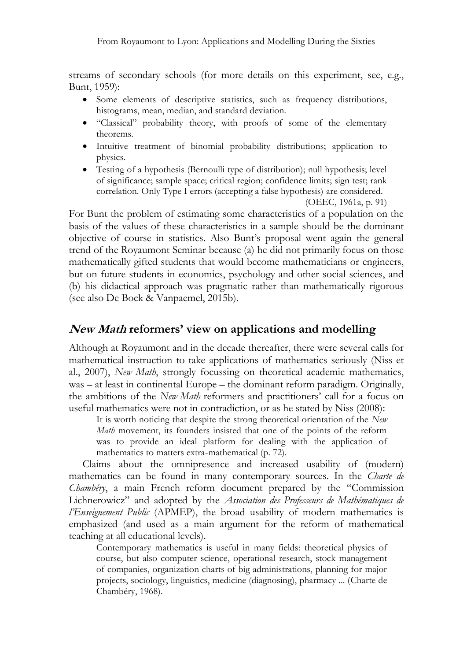streams of secondary schools (for more details on this experiment, see, e.g., Bunt, 1959):

- Some elements of descriptive statistics, such as frequency distributions, histograms, mean, median, and standard deviation.
- "Classical" probability theory, with proofs of some of the elementary theorems.
- Intuitive treatment of binomial probability distributions; application to physics.
- Testing of a hypothesis (Bernoulli type of distribution); null hypothesis; level of significance; sample space; critical region; confidence limits; sign test; rank correlation. Only Type I errors (accepting a false hypothesis) are considered.

(OEEC, 1961a, p. 91)

For Bunt the problem of estimating some characteristics of a population on the basis of the values of these characteristics in a sample should be the dominant objective of course in statistics. Also Bunt's proposal went again the general trend of the Royaumont Seminar because (a) he did not primarily focus on those mathematically gifted students that would become mathematicians or engineers, but on future students in economics, psychology and other social sciences, and (b) his didactical approach was pragmatic rather than mathematically rigorous (see also De Bock & Vanpaemel, 2015b).

## **New Math reformers' view on applications and modelling**

Although at Royaumont and in the decade thereafter, there were several calls for mathematical instruction to take applications of mathematics seriously (Niss et al., 2007), *New Math*, strongly focussing on theoretical academic mathematics, was – at least in continental Europe – the dominant reform paradigm. Originally, the ambitions of the *New Math* reformers and practitioners' call for a focus on useful mathematics were not in contradiction, or as he stated by Niss (2008):

It is worth noticing that despite the strong theoretical orientation of the *New Math* movement, its founders insisted that one of the points of the reform was to provide an ideal platform for dealing with the application of mathematics to matters extra-mathematical (p. 72).

Claims about the omnipresence and increased usability of (modern) mathematics can be found in many contemporary sources. In the *Charte de Chambéry*, a main French reform document prepared by the "Commission Lichnerowicz" and adopted by the *Association des Professeurs de Mathématiques de l'Enseignement Public* (APMEP), the broad usability of modern mathematics is emphasized (and used as a main argument for the reform of mathematical teaching at all educational levels).

Contemporary mathematics is useful in many fields: theoretical physics of course, but also computer science, operational research, stock management of companies, organization charts of big administrations, planning for major projects, sociology, linguistics, medicine (diagnosing), pharmacy ... (Charte de Chambéry, 1968).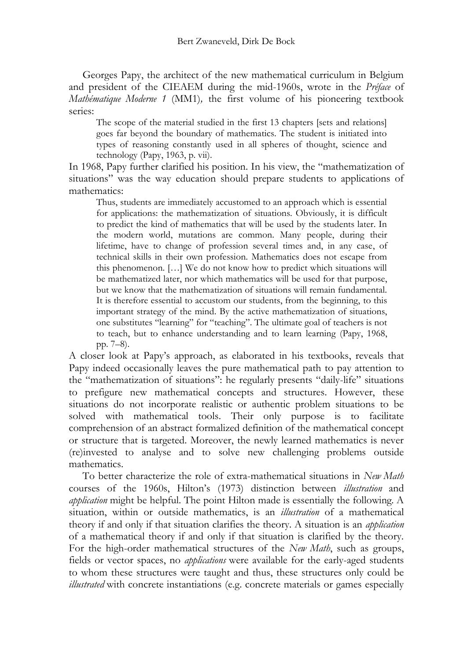Georges Papy, the architect of the new mathematical curriculum in Belgium and president of the CIEAEM during the mid-1960s, wrote in the *Préface* of *Mathématique Moderne 1* (MM1)*,* the first volume of his pioneering textbook series:

The scope of the material studied in the first 13 chapters [sets and relations] goes far beyond the boundary of mathematics. The student is initiated into types of reasoning constantly used in all spheres of thought, science and technology (Papy, 1963, p. vii).

In 1968, Papy further clarified his position. In his view, the "mathematization of situations" was the way education should prepare students to applications of mathematics:

Thus, students are immediately accustomed to an approach which is essential for applications: the mathematization of situations. Obviously, it is difficult to predict the kind of mathematics that will be used by the students later. In the modern world, mutations are common. Many people, during their lifetime, have to change of profession several times and, in any case, of technical skills in their own profession. Mathematics does not escape from this phenomenon. […] We do not know how to predict which situations will be mathematized later, nor which mathematics will be used for that purpose, but we know that the mathematization of situations will remain fundamental. It is therefore essential to accustom our students, from the beginning, to this important strategy of the mind. By the active mathematization of situations, one substitutes "learning" for "teaching". The ultimate goal of teachers is not to teach, but to enhance understanding and to learn learning (Papy, 1968, pp. 7–8).

A closer look at Papy's approach, as elaborated in his textbooks, reveals that Papy indeed occasionally leaves the pure mathematical path to pay attention to the "mathematization of situations": he regularly presents "daily-life" situations to prefigure new mathematical concepts and structures. However, these situations do not incorporate realistic or authentic problem situations to be solved with mathematical tools. Their only purpose is to facilitate comprehension of an abstract formalized definition of the mathematical concept or structure that is targeted. Moreover, the newly learned mathematics is never (re)invested to analyse and to solve new challenging problems outside mathematics.

To better characterize the role of extra-mathematical situations in *New Math* courses of the 1960s, Hilton's (1973) distinction between *illustration* and *application* might be helpful. The point Hilton made is essentially the following. A situation, within or outside mathematics, is an *illustration* of a mathematical theory if and only if that situation clarifies the theory. A situation is an *application* of a mathematical theory if and only if that situation is clarified by the theory. For the high-order mathematical structures of the *New Math*, such as groups, fields or vector spaces, no *applications* were available for the early-aged students to whom these structures were taught and thus, these structures only could be *illustrated* with concrete instantiations (e.g. concrete materials or games especially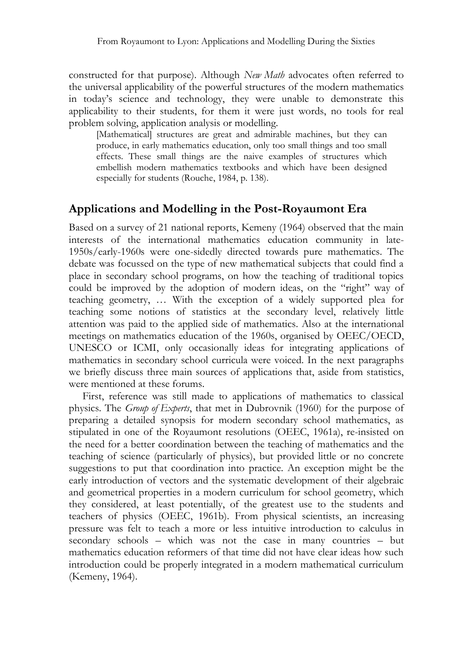constructed for that purpose). Although *New Math* advocates often referred to the universal applicability of the powerful structures of the modern mathematics in today's science and technology, they were unable to demonstrate this applicability to their students, for them it were just words, no tools for real problem solving, application analysis or modelling.

[Mathematical] structures are great and admirable machines, but they can produce, in early mathematics education, only too small things and too small effects. These small things are the naive examples of structures which embellish modern mathematics textbooks and which have been designed especially for students (Rouche, 1984, p. 138).

## **Applications and Modelling in the Post-Royaumont Era**

Based on a survey of 21 national reports, Kemeny (1964) observed that the main interests of the international mathematics education community in late-1950s/early-1960s were one-sidedly directed towards pure mathematics. The debate was focussed on the type of new mathematical subjects that could find a place in secondary school programs, on how the teaching of traditional topics could be improved by the adoption of modern ideas, on the "right" way of teaching geometry, … With the exception of a widely supported plea for teaching some notions of statistics at the secondary level, relatively little attention was paid to the applied side of mathematics. Also at the international meetings on mathematics education of the 1960s, organised by OEEC/OECD, UNESCO or ICMI, only occasionally ideas for integrating applications of mathematics in secondary school curricula were voiced. In the next paragraphs we briefly discuss three main sources of applications that, aside from statistics, were mentioned at these forums.

First, reference was still made to applications of mathematics to classical physics. The *Group of Experts*, that met in Dubrovnik (1960) for the purpose of preparing a detailed synopsis for modern secondary school mathematics, as stipulated in one of the Royaumont resolutions (OEEC, 1961a), re-insisted on the need for a better coordination between the teaching of mathematics and the teaching of science (particularly of physics), but provided little or no concrete suggestions to put that coordination into practice. An exception might be the early introduction of vectors and the systematic development of their algebraic and geometrical properties in a modern curriculum for school geometry, which they considered, at least potentially, of the greatest use to the students and teachers of physics (OEEC, 1961b). From physical scientists, an increasing pressure was felt to teach a more or less intuitive introduction to calculus in secondary schools – which was not the case in many countries – but mathematics education reformers of that time did not have clear ideas how such introduction could be properly integrated in a modern mathematical curriculum (Kemeny, 1964).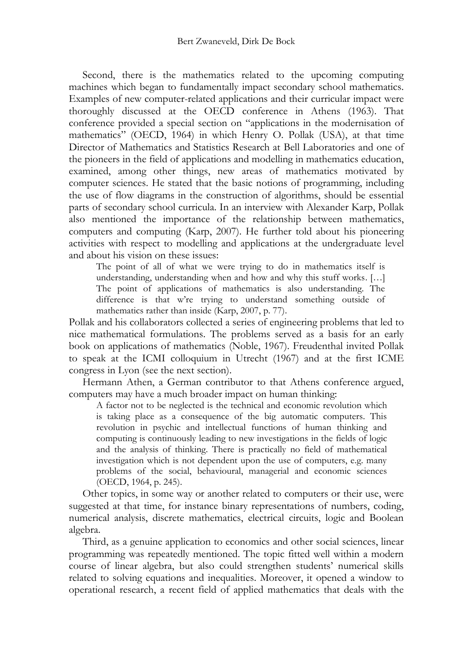Second, there is the mathematics related to the upcoming computing machines which began to fundamentally impact secondary school mathematics. Examples of new computer-related applications and their curricular impact were thoroughly discussed at the OECD conference in Athens (1963). That conference provided a special section on "applications in the modernisation of mathematics" (OECD, 1964) in which Henry O. Pollak (USA), at that time Director of Mathematics and Statistics Research at Bell Laboratories and one of the pioneers in the field of applications and modelling in mathematics education, examined, among other things, new areas of mathematics motivated by computer sciences. He stated that the basic notions of programming, including the use of flow diagrams in the construction of algorithms, should be essential parts of secondary school curricula. In an interview with Alexander Karp, Pollak also mentioned the importance of the relationship between mathematics, computers and computing (Karp, 2007). He further told about his pioneering activities with respect to modelling and applications at the undergraduate level and about his vision on these issues:

The point of all of what we were trying to do in mathematics itself is understanding, understanding when and how and why this stuff works. […] The point of applications of mathematics is also understanding. The difference is that w're trying to understand something outside of mathematics rather than inside (Karp, 2007, p. 77).

Pollak and his collaborators collected a series of engineering problems that led to nice mathematical formulations. The problems served as a basis for an early book on applications of mathematics (Noble, 1967). Freudenthal invited Pollak to speak at the ICMI colloquium in Utrecht (1967) and at the first ICME congress in Lyon (see the next section).

Hermann Athen, a German contributor to that Athens conference argued, computers may have a much broader impact on human thinking:

A factor not to be neglected is the technical and economic revolution which is taking place as a consequence of the big automatic computers. This revolution in psychic and intellectual functions of human thinking and computing is continuously leading to new investigations in the fields of logic and the analysis of thinking. There is practically no field of mathematical investigation which is not dependent upon the use of computers, e.g. many problems of the social, behavioural, managerial and economic sciences (OECD, 1964, p. 245).

Other topics, in some way or another related to computers or their use, were suggested at that time, for instance binary representations of numbers, coding, numerical analysis, discrete mathematics, electrical circuits, logic and Boolean algebra.

Third, as a genuine application to economics and other social sciences, linear programming was repeatedly mentioned. The topic fitted well within a modern course of linear algebra, but also could strengthen students' numerical skills related to solving equations and inequalities. Moreover, it opened a window to operational research, a recent field of applied mathematics that deals with the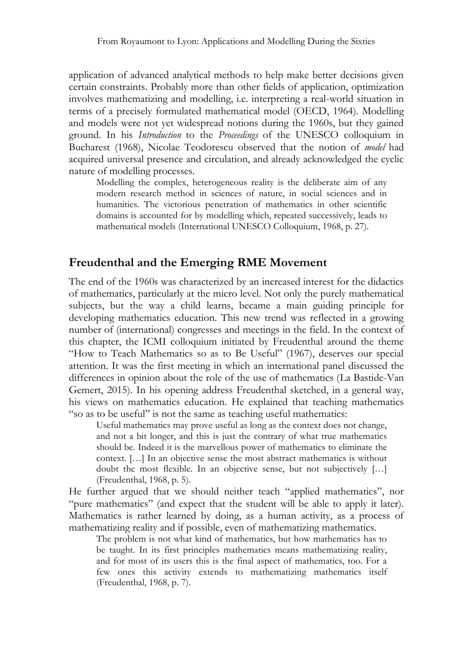application of advanced analytical methods to help make better decisions given certain constraints. Probably more than other fields of application, optimization involves mathematizing and modelling, i.e. interpreting a real-world situation in terms of a precisely formulated mathematical model (OECD, 1964). Modelling and models were not yet widespread notions during the 1960s, but they gained ground. In his *Introduction* to the *Proceedings* of the UNESCO colloquium in Bucharest (1968), Nicolae Teodorescu observed that the notion of *model* had acquired universal presence and circulation, and already acknowledged the cyclic nature of modelling processes.

Modelling the complex, heterogeneous reality is the deliberate aim of any modern research method in sciences of nature, in social sciences and in humanities. The victorious penetration of mathematics in other scientific domains is accounted for by modelling which, repeated successively, leads to mathematical models (International UNESCO Colloquium, 1968, p. 27).

## **Freudenthal and the Emerging RME Movement**

The end of the 1960s was characterized by an increased interest for the didactics of mathematics, particularly at the micro level. Not only the purely mathematical subjects, but the way a child learns, became a main guiding principle for developing mathematics education. This new trend was reflected in a growing number of (international) congresses and meetings in the field. In the context of this chapter, the ICMI colloquium initiated by Freudenthal around the theme "How to Teach Mathematics so as to Be Useful" (1967), deserves our special attention. It was the first meeting in which an international panel discussed the differences in opinion about the role of the use of mathematics (La Bastide-Van Gemert, 2015). In his opening address Freudenthal sketched, in a general way, his views on mathematics education. He explained that teaching mathematics "so as to be useful" is not the same as teaching useful mathematics:

Useful mathematics may prove useful as long as the context does not change, and not a bit longer, and this is just the contrary of what true mathematics should be. Indeed it is the marvellous power of mathematics to eliminate the context. […] In an objective sense the most abstract mathematics is without doubt the most flexible. In an objective sense, but not subjectively […] (Freudenthal, 1968, p. 5).

He further argued that we should neither teach "applied mathematics", nor "pure mathematics" (and expect that the student will be able to apply it later). Mathematics is rather learned by doing, as a human activity, as a process of mathematizing reality and if possible, even of mathematizing mathematics.

The problem is not what kind of mathematics, but how mathematics has to be taught. In its first principles mathematics means mathematizing reality, and for most of its users this is the final aspect of mathematics, too. For a few ones this activity extends to mathematizing mathematics itself (Freudenthal, 1968, p. 7).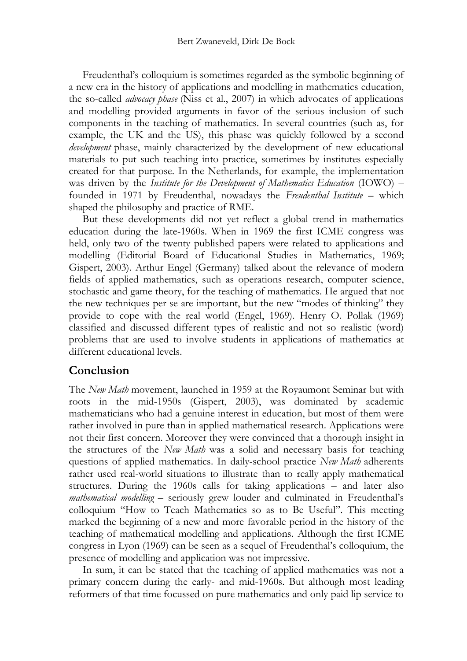Freudenthal's colloquium is sometimes regarded as the symbolic beginning of a new era in the history of applications and modelling in mathematics education, the so-called *advocacy phase* (Niss et al., 2007) in which advocates of applications and modelling provided arguments in favor of the serious inclusion of such components in the teaching of mathematics. In several countries (such as, for example, the UK and the US), this phase was quickly followed by a second *development* phase, mainly characterized by the development of new educational materials to put such teaching into practice, sometimes by institutes especially created for that purpose. In the Netherlands, for example, the implementation was driven by the *Institute for the Development of Mathematics Education* (IOWO) – founded in 1971 by Freudenthal, nowadays the *Freudenthal Institute* – which shaped the philosophy and practice of RME*.*

But these developments did not yet reflect a global trend in mathematics education during the late-1960s. When in 1969 the first ICME congress was held, only two of the twenty published papers were related to applications and modelling (Editorial Board of Educational Studies in Mathematics, 1969; Gispert, 2003). Arthur Engel (Germany) talked about the relevance of modern fields of applied mathematics, such as operations research, computer science, stochastic and game theory, for the teaching of mathematics. He argued that not the new techniques per se are important, but the new "modes of thinking" they provide to cope with the real world (Engel, 1969). Henry O. Pollak (1969) classified and discussed different types of realistic and not so realistic (word) problems that are used to involve students in applications of mathematics at different educational levels.

# **Conclusion**

The *New Math* movement, launched in 1959 at the Royaumont Seminar but with roots in the mid-1950s (Gispert, 2003), was dominated by academic mathematicians who had a genuine interest in education, but most of them were rather involved in pure than in applied mathematical research. Applications were not their first concern. Moreover they were convinced that a thorough insight in the structures of the *New Math* was a solid and necessary basis for teaching questions of applied mathematics. In daily-school practice *New Math* adherents rather used real-world situations to illustrate than to really apply mathematical structures. During the 1960s calls for taking applications – and later also *mathematical modelling* – seriously grew louder and culminated in Freudenthal's colloquium "How to Teach Mathematics so as to Be Useful". This meeting marked the beginning of a new and more favorable period in the history of the teaching of mathematical modelling and applications. Although the first ICME congress in Lyon (1969) can be seen as a sequel of Freudenthal's colloquium, the presence of modelling and application was not impressive.

In sum, it can be stated that the teaching of applied mathematics was not a primary concern during the early- and mid-1960s. But although most leading reformers of that time focussed on pure mathematics and only paid lip service to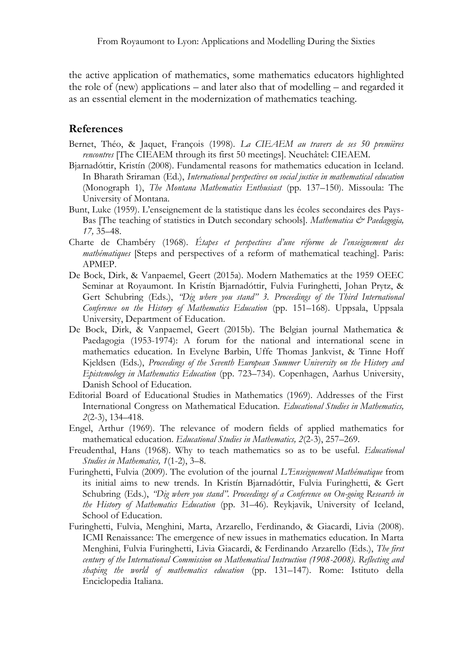the active application of mathematics, some mathematics educators highlighted the role of (new) applications – and later also that of modelling – and regarded it as an essential element in the modernization of mathematics teaching.

### **References**

- Bernet, Théo, & Jaquet, François (1998). *La CIEAEM au travers de ses 50 premières rencontres* [The CIEAEM through its first 50 meetings]. Neuchâtel: CIEAEM.
- Bjarnadóttir, Kristín (2008). Fundamental reasons for mathematics education in Iceland. In Bharath Sriraman (Ed.), *International perspectives on social justice in mathematical education* (Monograph 1), *The Montana Mathematics Enthusiast* (pp. 137–150). Missoula: The University of Montana.
- Bunt, Luke (1959). L'enseignement de la statistique dans les écoles secondaires des Pays-Bas [The teaching of statistics in Dutch secondary schools]. *Mathematica & Paedagogia*, *17,* 35–48.
- Charte de Chambéry (1968). *Étapes et perspectives d'une réforme de l'enseignement des mathématiques* [Steps and perspectives of a reform of mathematical teaching]. Paris: APMEP.
- De Bock, Dirk, & Vanpaemel, Geert (2015a). Modern Mathematics at the 1959 OEEC Seminar at Royaumont. In Kristín Bjarnadóttir, Fulvia Furinghetti, Johan Prytz, & Gert Schubring (Eds.), *"Dig where you stand" 3. Proceedings of the Third International Conference on the History of Mathematics Education* (pp. 151–168). Uppsala, Uppsala University, Department of Education.
- De Bock, Dirk, & Vanpaemel, Geert (2015b). The Belgian journal Mathematica & Paedagogia (1953-1974): A forum for the national and international scene in mathematics education. In Evelyne Barbin, Uffe Thomas Jankvist, & Tinne Hoff Kjeldsen (Eds.), *Proceedings of the Seventh European Summer University on the History and Epistemology in Mathematics Education* (pp. 723–734). Copenhagen, Aarhus University, Danish School of Education.
- Editorial Board of Educational Studies in Mathematics (1969). Addresses of the First International Congress on Mathematical Education. *Educational Studies in Mathematics, 2*(2-3), 134–418.
- Engel, Arthur (1969). The relevance of modern fields of applied mathematics for mathematical education. *Educational Studies in Mathematics, 2*(2-3), 257–269.
- Freudenthal, Hans (1968). Why to teach mathematics so as to be useful. *Educational Studies in Mathematics, 1*(1-2), 3–8.
- Furinghetti, Fulvia (2009). The evolution of the journal *L'Enseignement Mathématique* from its initial aims to new trends. In Kristín Bjarnadóttir, Fulvia Furinghetti, & Gert Schubring (Eds.), *"Dig where you stand". Proceedings of a Conference on On-going Research in the History of Mathematics Education* (pp. 31–46)*.* Reykjavik, University of Iceland, School of Education.
- Furinghetti, Fulvia, Menghini, Marta, Arzarello, Ferdinando, & Giacardi, Livia (2008). ICMI Renaissance: The emergence of new issues in mathematics education. In Marta Menghini, Fulvia Furinghetti, Livia Giacardi, & Ferdinando Arzarello (Eds.), *The first century of the International Commission on Mathematical Instruction (1908-2008). Reflecting and shaping the world of mathematics education* (pp. 131–147). Rome: Istituto della Enciclopedia Italiana.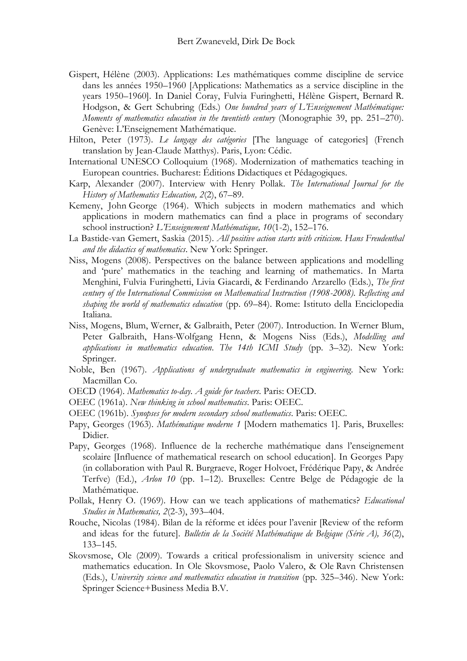- Gispert, Hélène (2003). Applications: Les mathématiques comme discipline de service dans les années 1950–1960 [Applications: Mathematics as a service discipline in the years 1950–1960]. In Daniel Coray, Fulvia Furinghetti, Hélène Gispert, Bernard R. Hodgson, & Gert Schubring (Eds.) *One hundred years of L'Enseignement Mathématique: Moments of mathematics education in the twentieth century* (Monographie 39, pp. 251–270). Genève: L'Enseignement Mathématique.
- Hilton, Peter (1973). *Le langage des catégories* [The language of categories] (French translation by Jean-Claude Matthys). Paris, Lyon: Cédic.
- International UNESCO Colloquium (1968). Modernization of mathematics teaching in European countries. Bucharest: Éditions Didactiques et Pédagogiques.
- Karp, Alexander (2007). Interview with Henry Pollak. *The International Journal for the History of Mathematics Education, 2*(2), 67–89.
- Kemeny, John George (1964). Which subjects in modern mathematics and which applications in modern mathematics can find a place in programs of secondary school instruction? *L'Enseignement Mathématique, 10*(1-2), 152–176.
- La Bastide-van Gemert, Saskia (2015). *All positive action starts with criticism. Hans Freudenthal and the didactics of mathematics*. New York: Springer.
- Niss, Mogens (2008). Perspectives on the balance between applications and modelling and 'pure' mathematics in the teaching and learning of mathematics. In Marta Menghini, Fulvia Furinghetti, Livia Giacardi, & Ferdinando Arzarello (Eds.), *The first century of the International Commission on Mathematical Instruction (1908-2008). Reflecting and shaping the world of mathematics education* (pp. 69–84). Rome: Istituto della Enciclopedia Italiana.
- Niss, Mogens, Blum, Werner, & Galbraith, Peter (2007). Introduction. In Werner Blum, Peter Galbraith, Hans-Wolfgang Henn, & Mogens Niss (Eds.), *Modelling and applications in mathematics education*. *The 14th ICMI Study* (pp. 3–32). New York: Springer.
- Noble, Ben (1967). *Applications of undergraduate mathematics in engineering*. New York: Macmillan Co.
- OECD (1964). *Mathematics to-day. A guide for teachers*. Paris: OECD.
- OEEC (1961a). *New thinking in school mathematics*. Paris: OEEC.
- OEEC (1961b). *Synopses for modern secondary school mathematics*. Paris: OEEC.
- Papy, Georges (1963). *Mathématique moderne 1* [Modern mathematics 1]. Paris, Bruxelles: Didier.
- Papy, Georges (1968). Influence de la recherche mathématique dans l'enseignement scolaire [Influence of mathematical research on school education]. In Georges Papy (in collaboration with Paul R. Burgraeve, Roger Holvoet, Frédérique Papy, & Andrée Terfve) (Ed.), *Arlon 10* (pp. 1–12). Bruxelles: Centre Belge de Pédagogie de la Mathématique.
- Pollak, Henry O. (1969). How can we teach applications of mathematics? *Educational Studies in Mathematics, 2*(2-3), 393–404.
- Rouche, Nicolas (1984). Bilan de la réforme et idées pour l'avenir [Review of the reform and ideas for the future]. *Bulletin de la Société Mathématique de Belgique (Série A), 36*(2), 133–145.
- Skovsmose, Ole (2009). Towards a critical professionalism in university science and mathematics education. In Ole Skovsmose, Paolo Valero, & Ole Ravn Christensen (Eds.), *University science and mathematics education in transition* (pp. 325–346). New York: Springer Science+Business Media B.V.